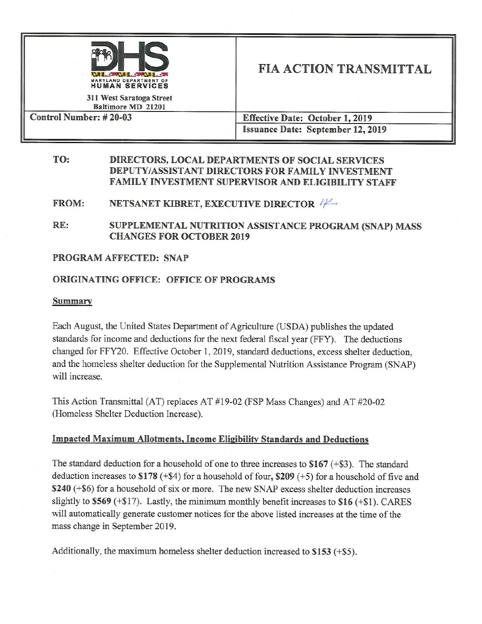

# **FIA ACTION TRANSMITTAL**

311 West Saratoga Street Baltimore MD 21201 Control Number: #20-03

**Effective Date: October 1, 2019 Issuance Date: September 12, 2019** 

#### TO: DIRECTORS, LOCAL DEPARTMENTS OF SOCIAL SERVICES DEPUTY/ASSISTANT DIRECTORS FOR FAMILY INVESTMENT FAMILY INVESTMENT SUPERVISOR AND ELIGIBILITY STAFF

#### **FROM:** NETSANET KIBRET, EXECUTIVE DIRECTOR

RE: SUPPLEMENTAL NUTRITION ASSISTANCE PROGRAM (SNAP) MASS **CHANGES FOR OCTOBER 2019** 

### **PROGRAM AFFECTED: SNAP**

## **ORIGINATING OFFICE: OFFICE OF PROGRAMS**

### **Summary**

Each August, the United States Department of Agriculture (USDA) publishes the updated standards for income and deductions for the next federal fiscal year (FFY). The deductions changed for FFY20. Effective October 1, 2019, standard deductions, excess shelter deduction, and the homeless shelter deduction for the Supplemental Nutrition Assistance Program (SNAP) will increase.

This Action Transmittal (AT) replaces AT #19-02 (FSP Mass Changes) and AT #20-02 (Homeless Shelter Deduction Increase).

# **Impacted Maximum Allotments, Income Eligibility Standards and Deductions**

The standard deduction for a household of one to three increases to  $$167 (+ $3)$ . The standard deduction increases to \$178 (+\$4) for a household of four, \$209 (+5) for a household of five and \$240 (+\$6) for a household of six or more. The new SNAP excess shelter deduction increases slightly to \$569 (+\$17). Lastly, the minimum monthly benefit increases to \$16 (+\$1). CARES will automatically generate customer notices for the above listed increases at the time of the mass change in September 2019.

Additionally, the maximum homeless shelter deduction increased to  $$153$  (+\$5).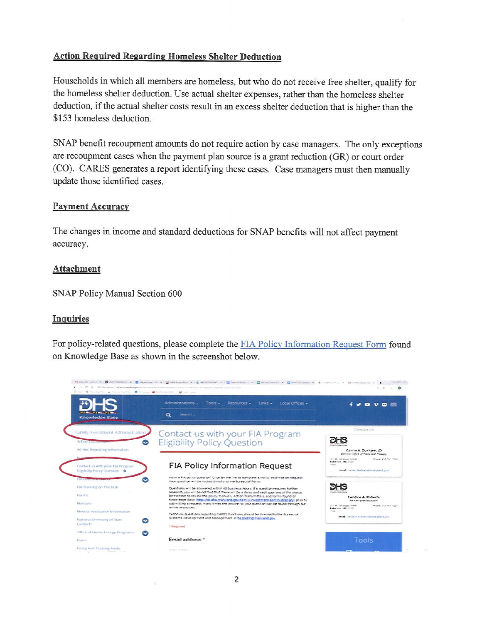### **Action Required Regarding Homeless Shelter Deduction**

Households in which all members are homeless, but who do not receive free shelter, qualify for the homeless shelter deduction. Use actual shelter expenses, rather than the homeless shelter deduction, if the actual shelter costs result in an excess shelter deduction that is higher than the \$153 homeless deduction.

SNAP benefit recoupment amounts do not require action by case managers. The only exceptions are recoupment cases when the payment plan source is a grant reduction (GR) or court order (CO). CARES generates a report identifying these cases. Case managers must then manually update those identified cases.

### **Payment Accuracy**

The changes in income and standard deductions for SNAP benefits will not affect payment accuracy.

### Attachment

SNAP Policy Manual Section 600

### Inquiries

For policy-related questions, please complete the FIA Policy Information Request Form found on Knowledge Base as shown in the screenshot below.

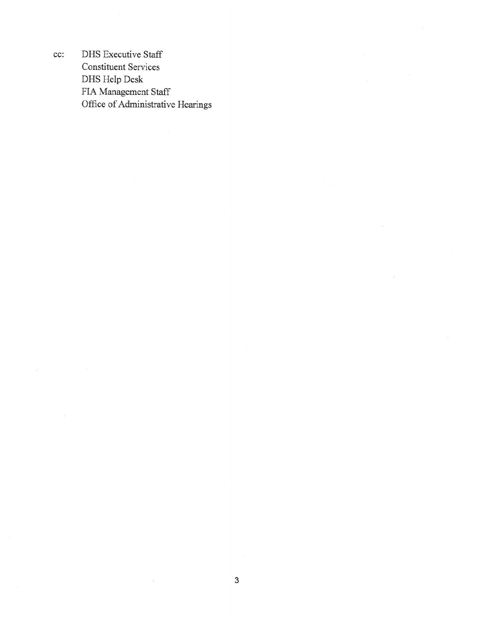**DHS** Executive Staff **Constituent Services** DHS Help Desk FIA Management Staff Office of Administrative Hearings

cc: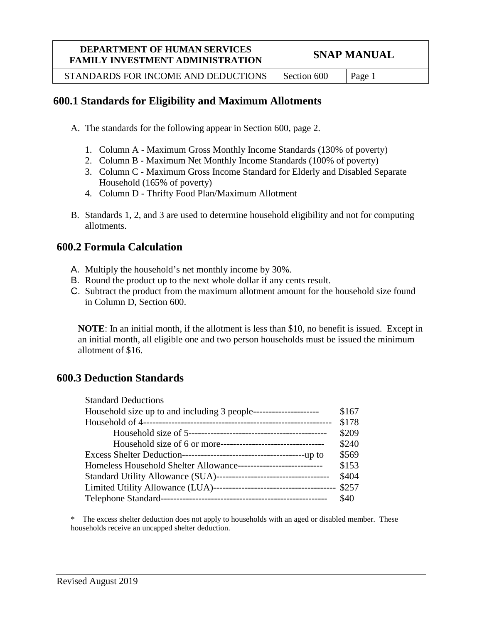STANDARDS FOR INCOME AND DEDUCTIONS  $\vert$  Section 600  $\vert$  Page 1

# **600.1 Standards for Eligibility and Maximum Allotments**

- A. The standards for the following appear in Section 600, page 2.
	- 1. Column A Maximum Gross Monthly Income Standards (130% of poverty)
	- 2. Column B Maximum Net Monthly Income Standards (100% of poverty)
	- 3. Column C Maximum Gross Income Standard for Elderly and Disabled Separate Household (165% of poverty)
	- 4. Column D Thrifty Food Plan/Maximum Allotment
- B. Standards 1, 2, and 3 are used to determine household eligibility and not for computing allotments.

# **600.2 Formula Calculation**

- A. Multiply the household's net monthly income by 30%.
- B. Round the product up to the next whole dollar if any cents result.
- C. Subtract the product from the maximum allotment amount for the household size found in Column D, Section 600.

**NOTE**: In an initial month, if the allotment is less than \$10, no benefit is issued. Except in an initial month, all eligible one and two person households must be issued the minimum allotment of \$16.

# **600.3 Deduction Standards**

| <b>Standard Deductions</b>                                       |       |
|------------------------------------------------------------------|-------|
|                                                                  | \$167 |
|                                                                  | \$178 |
|                                                                  | \$209 |
|                                                                  | \$240 |
|                                                                  | \$569 |
| Homeless Household Shelter Allowance---------------------------- | \$153 |
|                                                                  | \$404 |
|                                                                  |       |
|                                                                  | \$40  |

\* The excess shelter deduction does not apply to households with an aged or disabled member. These households receive an uncapped shelter deduction.